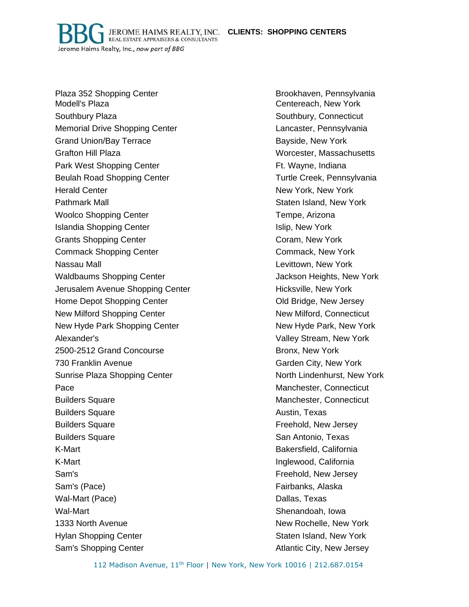**CLIENTS: SHOPPING CENTERS**

JEROME HAIMS REALTY, INC. **REAL ESTATE APPRAISERS & CONSULTANTS** Jerome Haims Realty, Inc., now part of BBG

Plaza 352 Shopping Center **Brookhaven, Pennsylvania** Modell's Plaza **Centereach, New York** Centereach, New York Southbury Plaza Southbury, Connecticut Memorial Drive Shopping Center Lancaster, Pennsylvania Grand Union/Bay Terrace **Bayside, New York** Bayside, New York Grafton Hill Plaza Worcester, Massachusetts Park West Shopping Center Fig. 2012 1994 Ft. Wayne, Indiana Beulah Road Shopping Center Turtle Creek, Pennsylvania Herald Center New York, New York, New York, New York, New York, New York, New York, New York, New York, New York Pathmark Mall **Pathmark Mall** Staten Island, New York Woolco Shopping Center Tempe, Arizona Islandia Shopping Center **Islandia Shopping Center** Islandia Shopping Center Grants Shopping Center Coram, New York Commack Shopping Center Commack, New York Nassau Mall **Nassau Mall Levittown, New York Nassau Mall** Levittown, New York Waldbaums Shopping Center The Manusculinum Shopping Center Jackson Heights, New York Jerusalem Avenue Shopping Center **Hicksville, New York** Home Depot Shopping Center **Canadian Center Contract Contract Contract Contract Contract Contract Contract Contract Contract Contract Contract Contract Contract Contract Contract Contract Contract Contract Contract Contrac** New Milford Shopping Center New Milford, Connecticut New Hyde Park Shopping Center New Hyde Park, New York Alexander's Valley Stream, New York 2500-2512 Grand Concourse Bronx, New York 730 Franklin Avenue Garden City, New York Sunrise Plaza Shopping Center North Lindenhurst, New York Pace **Manchester, Connecticut** Builders Square **Manchester, Connecticut Manchester**, Connecticut Builders Square **Austin**, Texas Builders Square **Freehold**, New Jersey **Builders Square San Antonio, Texas Antonio, Texas San Antonio, Texas San Antonio, Texas San Antonio, Texas San Antonio, Texas San Antonio, Texas San Antonio, Texas San Antonio, Texas San Antonio, Texas San Antonio, Texas** K-Mart Bakersfield, California K-Mart Inglewood, California Sam's Freehold, New Jersey Sam's (Pace) **Fairbanks, Alaska** Wal-Mart (Pace) **Dallas, Texas** Wal-Mart Shenandoah, Iowa 1333 North Avenue New York New Rochelle, New York Hylan Shopping Center Staten Island, New York Staten Island, New York Sam's Shopping Center Atlantic City, New Jersey

112 Madison Avenue, 11<sup>th</sup> Floor | New York, New York 10016 | 212.687.0154